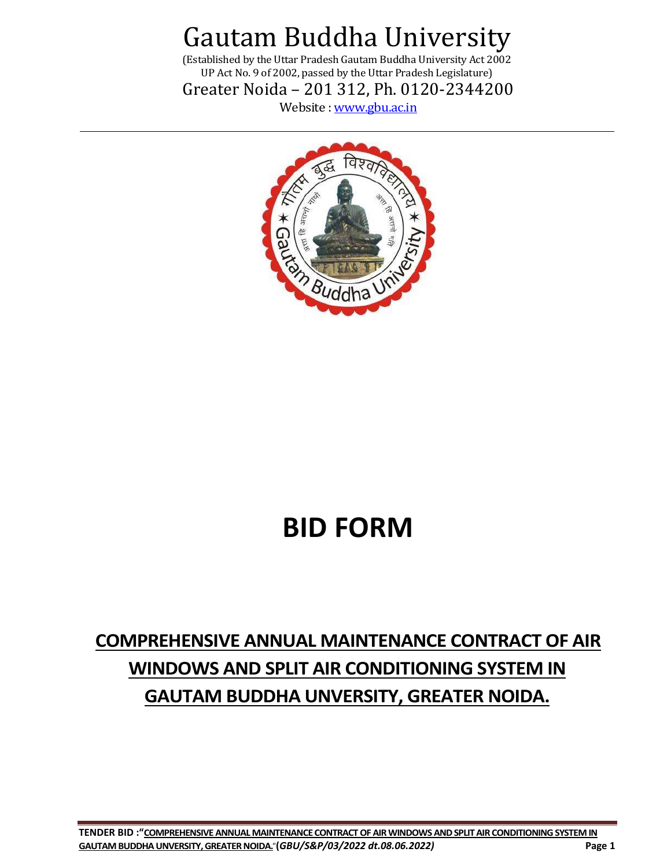(Established by the Uttar Pradesh Gautam Buddha University Act 2002 UP Act No. 9 of 2002, passed by the Uttar Pradesh Legislature) Greater Noida – 201 312, Ph. 0120-2344200

Website : [www.gbu.ac.in](http://www.gbu.ac.in/)



### **BID FORM**

### **COMPREHENSIVE ANNUAL MAINTENANCE CONTRACT OF AIR WINDOWS AND SPLIT AIR CONDITIONING SYSTEM IN GAUTAM BUDDHA UNVERSITY, GREATER NOIDA.**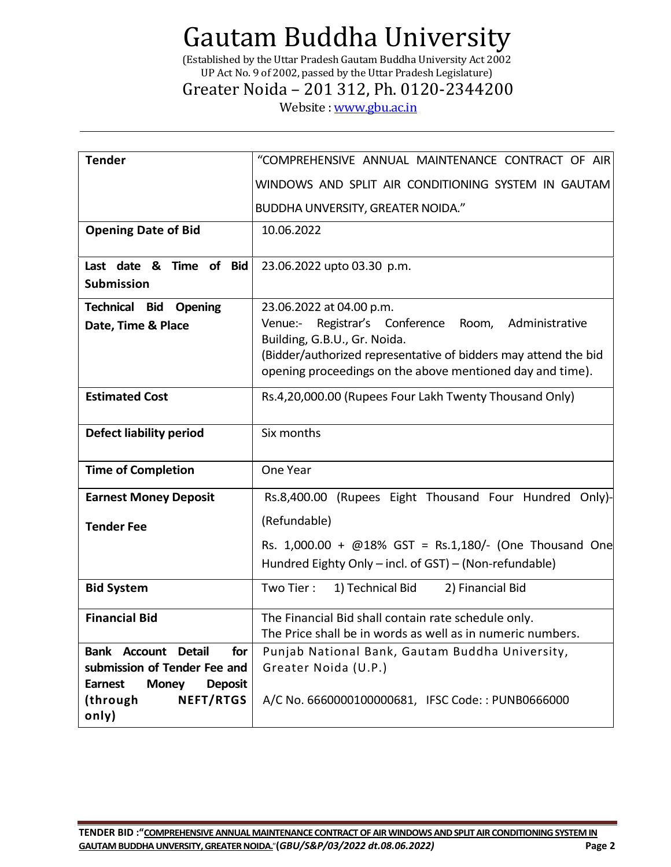(Established by the Uttar Pradesh Gautam Buddha University Act 2002 UP Act No. 9 of 2002, passed by the Uttar Pradesh Legislature)

### Greater Noida – 201 312, Ph. 0120-2344200

Website : [www.gbu.ac.in](http://www.gbu.ac.in/)

| <b>Tender</b>                                    | "COMPREHENSIVE ANNUAL MAINTENANCE CONTRACT OF AIR                              |  |  |
|--------------------------------------------------|--------------------------------------------------------------------------------|--|--|
|                                                  | WINDOWS AND SPLIT AIR CONDITIONING SYSTEM IN GAUTAM                            |  |  |
|                                                  | <b>BUDDHA UNVERSITY, GREATER NOIDA."</b>                                       |  |  |
| <b>Opening Date of Bid</b>                       | 10.06.2022                                                                     |  |  |
|                                                  |                                                                                |  |  |
| Last date & Time of<br><b>Bid</b>                | 23.06.2022 upto 03.30 p.m.                                                     |  |  |
| <b>Submission</b>                                |                                                                                |  |  |
| <b>Technical Bid Opening</b>                     | 23.06.2022 at 04.00 p.m.                                                       |  |  |
| Date, Time & Place                               | Venue:-<br>Registrar's Conference<br>Room,<br>Administrative                   |  |  |
|                                                  | Building, G.B.U., Gr. Noida.                                                   |  |  |
|                                                  | (Bidder/authorized representative of bidders may attend the bid                |  |  |
|                                                  | opening proceedings on the above mentioned day and time).                      |  |  |
|                                                  |                                                                                |  |  |
| <b>Estimated Cost</b>                            | Rs.4,20,000.00 (Rupees Four Lakh Twenty Thousand Only)                         |  |  |
|                                                  |                                                                                |  |  |
| <b>Defect liability period</b>                   | Six months                                                                     |  |  |
|                                                  |                                                                                |  |  |
| <b>Time of Completion</b>                        | One Year                                                                       |  |  |
| <b>Earnest Money Deposit</b>                     | Rs.8,400.00 (Rupees Eight Thousand Four Hundred Only)-                         |  |  |
|                                                  | (Refundable)                                                                   |  |  |
| <b>Tender Fee</b>                                |                                                                                |  |  |
|                                                  | Rs. $1,000.00 + \text{\textcircled{a}}18\%$ GST = Rs.1,180/- (One Thousand One |  |  |
|                                                  | Hundred Eighty Only - incl. of GST) - (Non-refundable)                         |  |  |
| <b>Bid System</b>                                | Two Tier:<br>1) Technical Bid<br>2) Financial Bid                              |  |  |
|                                                  |                                                                                |  |  |
| <b>Financial Bid</b>                             | The Financial Bid shall contain rate schedule only.                            |  |  |
|                                                  | The Price shall be in words as well as in numeric numbers.                     |  |  |
| <b>Bank Account Detail</b><br>for                | Punjab National Bank, Gautam Buddha University,                                |  |  |
| submission of Tender Fee and                     | Greater Noida (U.P.)                                                           |  |  |
| <b>Earnest</b><br><b>Money</b><br><b>Deposit</b> |                                                                                |  |  |
| <b>NEFT/RTGS</b><br>(through                     | A/C No. 6660000100000681, IFSC Code:: PUNB0666000                              |  |  |
| only)                                            |                                                                                |  |  |
|                                                  |                                                                                |  |  |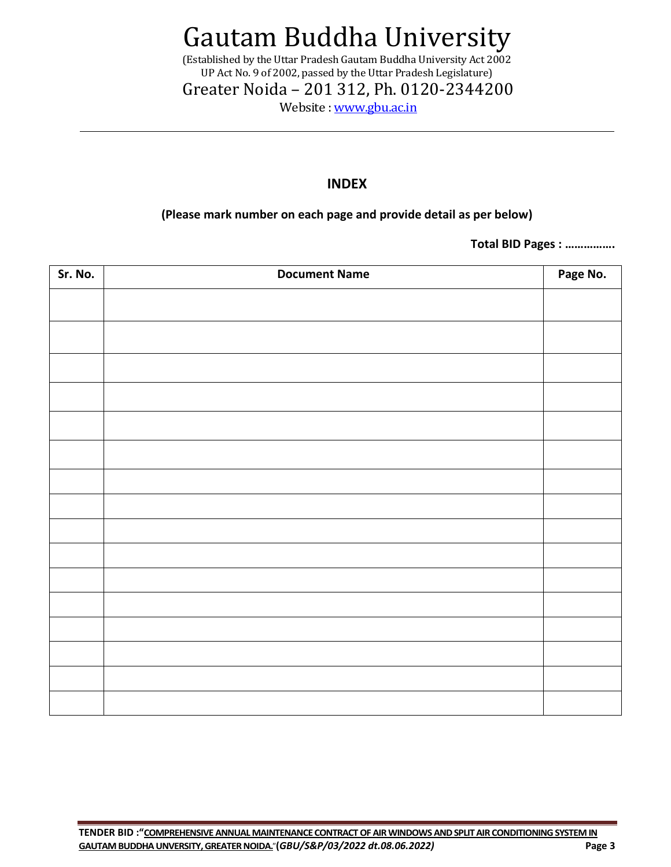(Established by the Uttar Pradesh Gautam Buddha University Act 2002 UP Act No. 9 of 2002, passed by the Uttar Pradesh Legislature)

Greater Noida – 201 312, Ph. 0120-2344200

Website : [www.gbu.ac.in](http://www.gbu.ac.in/)

#### **INDEX**

### **(Please mark number on each page and provide detail as per below)**

**Total BID Pages : …………….**

| Sr. No. | <b>Document Name</b> | Page No. |
|---------|----------------------|----------|
|         |                      |          |
|         |                      |          |
|         |                      |          |
|         |                      |          |
|         |                      |          |
|         |                      |          |
|         |                      |          |
|         |                      |          |
|         |                      |          |
|         |                      |          |
|         |                      |          |
|         |                      |          |
|         |                      |          |
|         |                      |          |
|         |                      |          |
|         |                      |          |
|         |                      |          |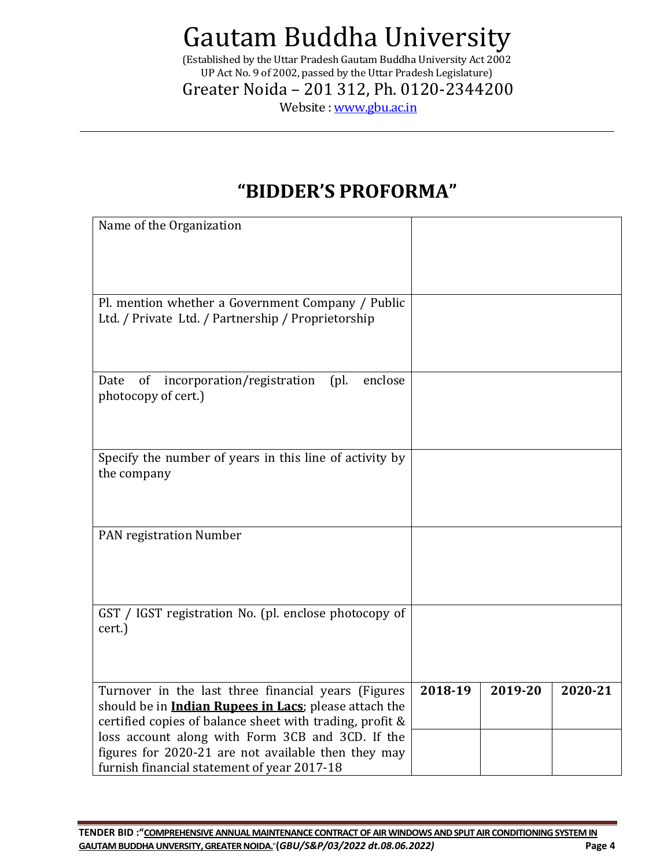(Established by the Uttar Pradesh Gautam Buddha University Act 2002 UP Act No. 9 of 2002, passed by the Uttar Pradesh Legislature)

Greater Noida – 201 312, Ph. 0120-2344200

Website : [www.gbu.ac.in](http://www.gbu.ac.in/)

### **"BIDDER'S PROFORMA"**

| Name of the Organization                                                                                                                                                                                                                                                                                                                   |         |         |         |
|--------------------------------------------------------------------------------------------------------------------------------------------------------------------------------------------------------------------------------------------------------------------------------------------------------------------------------------------|---------|---------|---------|
| Pl. mention whether a Government Company / Public<br>Ltd. / Private Ltd. / Partnership / Proprietorship                                                                                                                                                                                                                                    |         |         |         |
| of<br>incorporation/registration<br>[ <i>p</i> ] <sub>0</sub><br>enclose<br>Date<br>photocopy of cert.)                                                                                                                                                                                                                                    |         |         |         |
| Specify the number of years in this line of activity by<br>the company                                                                                                                                                                                                                                                                     |         |         |         |
| PAN registration Number                                                                                                                                                                                                                                                                                                                    |         |         |         |
| GST / IGST registration No. (pl. enclose photocopy of<br>cert.)                                                                                                                                                                                                                                                                            |         |         |         |
| Turnover in the last three financial years (Figures<br>should be in <i>Indian Rupees in Lacs</i> ; please attach the<br>certified copies of balance sheet with trading, profit &<br>loss account along with Form 3CB and 3CD. If the<br>figures for 2020-21 are not available then they may<br>furnish financial statement of year 2017-18 | 2018-19 | 2019-20 | 2020-21 |

**TENDER BID :"COMPREHENSIVE ANNUAL MAINTENANCE CONTRACT OF AIR WINDOWS AND SPLIT AIR CONDITIONING SYSTEM IN GAUTAM BUDDHA UNVERSITY, GREATER NOIDA.**"**(***GBU/S&P/03/2022 dt.08.06.2022)* **Page 4**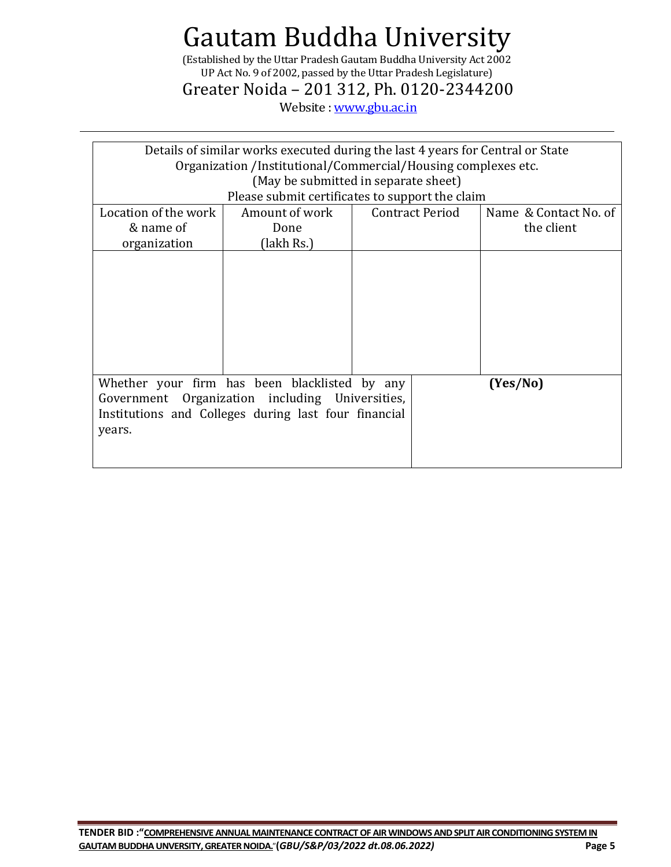(Established by the Uttar Pradesh Gautam Buddha University Act 2002 UP Act No. 9 of 2002, passed by the Uttar Pradesh Legislature)

Greater Noida – 201 312, Ph. 0120-2344200

Website : [www.gbu.ac.in](http://www.gbu.ac.in/)

| Details of similar works executed during the last 4 years for Central or State |                                                      |  |                        |                       |  |  |
|--------------------------------------------------------------------------------|------------------------------------------------------|--|------------------------|-----------------------|--|--|
| Organization /Institutional/Commercial/Housing complexes etc.                  |                                                      |  |                        |                       |  |  |
| (May be submitted in separate sheet)                                           |                                                      |  |                        |                       |  |  |
|                                                                                | Please submit certificates to support the claim      |  |                        |                       |  |  |
| Location of the work                                                           | Amount of work                                       |  | <b>Contract Period</b> | Name & Contact No. of |  |  |
| & name of                                                                      | Done                                                 |  |                        | the client            |  |  |
| organization                                                                   | (lakh Rs.)                                           |  |                        |                       |  |  |
|                                                                                |                                                      |  |                        |                       |  |  |
|                                                                                |                                                      |  |                        |                       |  |  |
|                                                                                |                                                      |  |                        |                       |  |  |
|                                                                                |                                                      |  |                        |                       |  |  |
|                                                                                |                                                      |  |                        |                       |  |  |
|                                                                                |                                                      |  |                        |                       |  |  |
|                                                                                |                                                      |  |                        |                       |  |  |
|                                                                                |                                                      |  |                        |                       |  |  |
|                                                                                | Whether your firm has been blacklisted by any        |  |                        | (Yes/No)              |  |  |
| Government Organization including Universities,                                |                                                      |  |                        |                       |  |  |
|                                                                                | Institutions and Colleges during last four financial |  |                        |                       |  |  |
| years.                                                                         |                                                      |  |                        |                       |  |  |
|                                                                                |                                                      |  |                        |                       |  |  |
|                                                                                |                                                      |  |                        |                       |  |  |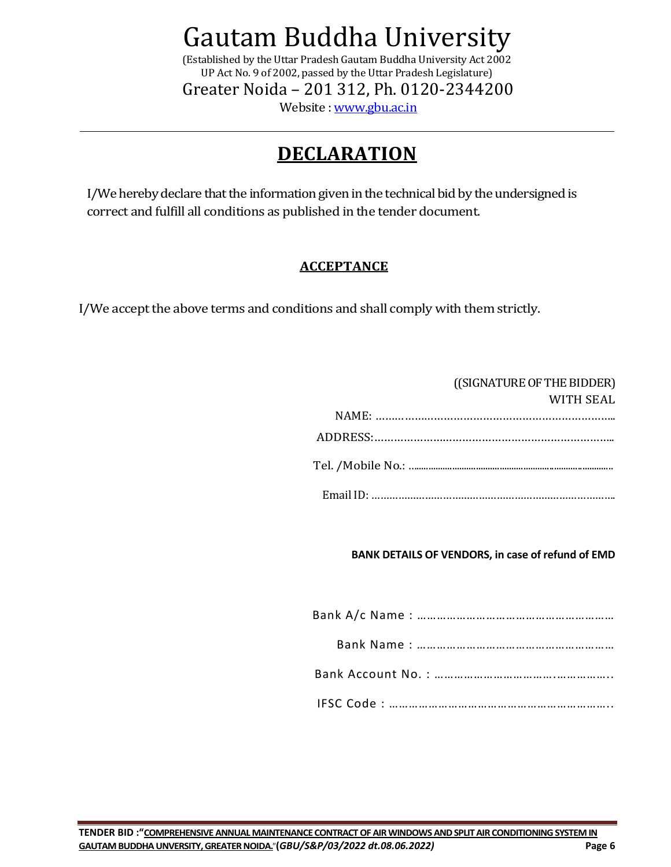(Established by the Uttar Pradesh Gautam Buddha University Act 2002 UP Act No. 9 of 2002, passed by the Uttar Pradesh Legislature) Greater Noida – 201 312, Ph. 0120-2344200

Website : [www.gbu.ac.in](http://www.gbu.ac.in/)

### **DECLARATION**

I/We hereby declare that the information given in the technical bid by the undersigned is correct and fulfill all conditions as published in the tender document.

### **ACCEPTANCE**

I/We accept the above terms and conditions and shall comply with them strictly.

| ((SIGNATURE OF THE BIDDER) |
|----------------------------|
| WITH SEAL                  |
|                            |
|                            |
|                            |
|                            |

### **BANK DETAILS OF VENDORS, in case of refund of EMD**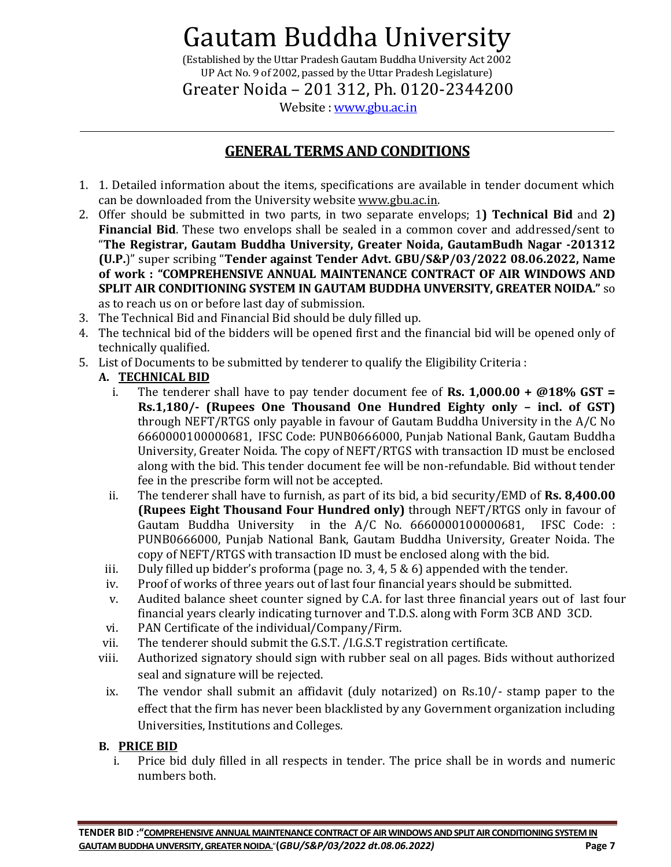(Established by the Uttar Pradesh Gautam Buddha University Act 2002 UP Act No. 9 of 2002, passed by the Uttar Pradesh Legislature)

Greater Noida – 201 312, Ph. 0120-2344200

Website : [www.gbu.ac.in](http://www.gbu.ac.in/)

### **GENERAL TERMS AND CONDITIONS**

- 1. 1. Detailed information about the items, specifications are available in tender document which can be downloaded from the University website [www.gbu.ac.in.](http://www.gbu.ac.in/)
- 2. Offer should be submitted in two parts, in two separate envelops; 1**) Technical Bid** and **2) Financial Bid**. These two envelops shall be sealed in a common cover and addressed/sent to "**The Registrar, Gautam Buddha University, Greater Noida, GautamBudh Nagar -201312 (U.P.**)" super scribing "**Tender against Tender Advt. GBU/S&P/03/2022 08.06.2022, Name of work : "COMPREHENSIVE ANNUAL MAINTENANCE CONTRACT OF AIR WINDOWS AND SPLIT AIR CONDITIONING SYSTEM IN GAUTAM BUDDHA UNVERSITY, GREATER NOIDA."** so as to reach us on or before last day of submission.
- 3. The Technical Bid and Financial Bid should be duly filled up.
- 4. The technical bid of the bidders will be opened first and the financial bid will be opened only of technically qualified.
- 5. List of Documents to be submitted by tenderer to qualify the Eligibility Criteria :

### **A. TECHNICAL BID**

- i. The tenderer shall have to pay tender document fee of **Rs. 1,000.00 + @18% GST** = **Rs.1,180/- (Rupees One Thousand One Hundred Eighty only – incl. of GST)** through NEFT/RTGS only payable in favour of Gautam Buddha University in the A/C No 6660000100000681, IFSC Code: PUNB0666000, Punjab National Bank, Gautam Buddha University, Greater Noida. The copy of NEFT/RTGS with transaction ID must be enclosed along with the bid. This tender document fee will be non-refundable. Bid without tender fee in the prescribe form will not be accepted.
- ii. The tenderer shall have to furnish, as part of its bid, a bid security/EMD of **Rs. 8,400.00 (Rupees Eight Thousand Four Hundred only)** through NEFT/RTGS only in favour of Gautam Buddha University in the A/C No. 6660000100000681, IFSC Code: : PUNB0666000, Punjab National Bank, Gautam Buddha University, Greater Noida. The copy of NEFT/RTGS with transaction ID must be enclosed along with the bid.
- iii. Duly filled up bidder's proforma (page no. 3, 4, 5 & 6) appended with the tender.
- iv. Proof of works of three years out of last four financial years should be submitted.
- v. Audited balance sheet counter signed by C.A. for last three financial years out of last four financial years clearly indicating turnover and T.D.S. along with Form 3CB AND 3CD.
- vi. PAN Certificate of the individual/Company/Firm.
- vii. The tenderer should submit the G.S.T. /I.G.S.T registration certificate.
- viii. Authorized signatory should sign with rubber seal on all pages. Bids without authorized seal and signature will be rejected.
- ix. The vendor shall submit an affidavit (duly notarized) on Rs.10/- stamp paper to the effect that the firm has never been blacklisted by any Government organization including Universities, Institutions and Colleges.

### **B. PRICE BID**

i. Price bid duly filled in all respects in tender. The price shall be in words and numeric numbers both.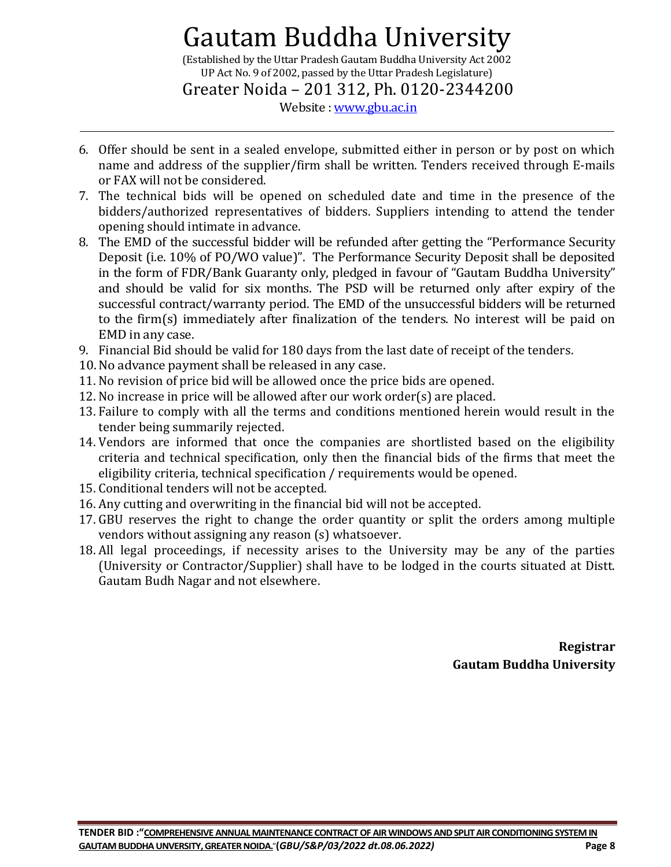(Established by the Uttar Pradesh Gautam Buddha University Act 2002 UP Act No. 9 of 2002, passed by the Uttar Pradesh Legislature)

Greater Noida – 201 312, Ph. 0120-2344200

Website : [www.gbu.ac.in](http://www.gbu.ac.in/)

- 6. Offer should be sent in a sealed envelope, submitted either in person or by post on which name and address of the supplier/firm shall be written. Tenders received through E-mails or FAX will not be considered.
- 7. The technical bids will be opened on scheduled date and time in the presence of the bidders/authorized representatives of bidders. Suppliers intending to attend the tender opening should intimate in advance.
- 8. The EMD of the successful bidder will be refunded after getting the "Performance Security Deposit (i.e. 10% of PO/WO value)". The Performance Security Deposit shall be deposited in the form of FDR/Bank Guaranty only, pledged in favour of "Gautam Buddha University" and should be valid for six months. The PSD will be returned only after expiry of the successful contract/warranty period. The EMD of the unsuccessful bidders will be returned to the firm(s) immediately after finalization of the tenders. No interest will be paid on EMD in any case.
- 9. Financial Bid should be valid for 180 days from the last date of receipt of the tenders.
- 10.No advance payment shall be released in any case.
- 11. No revision of price bid will be allowed once the price bids are opened.
- 12. No increase in price will be allowed after our work order(s) are placed.
- 13. Failure to comply with all the terms and conditions mentioned herein would result in the tender being summarily rejected.
- 14. Vendors are informed that once the companies are shortlisted based on the eligibility criteria and technical specification, only then the financial bids of the firms that meet the eligibility criteria, technical specification / requirements would be opened.
- 15. Conditional tenders will not be accepted.
- 16. Any cutting and overwriting in the financial bid will not be accepted.
- 17. GBU reserves the right to change the order quantity or split the orders among multiple vendors without assigning any reason (s) whatsoever.
- 18. All legal proceedings, if necessity arises to the University may be any of the parties (University or Contractor/Supplier) shall have to be lodged in the courts situated at Distt. Gautam Budh Nagar and not elsewhere.

**Registrar Gautam Buddha University**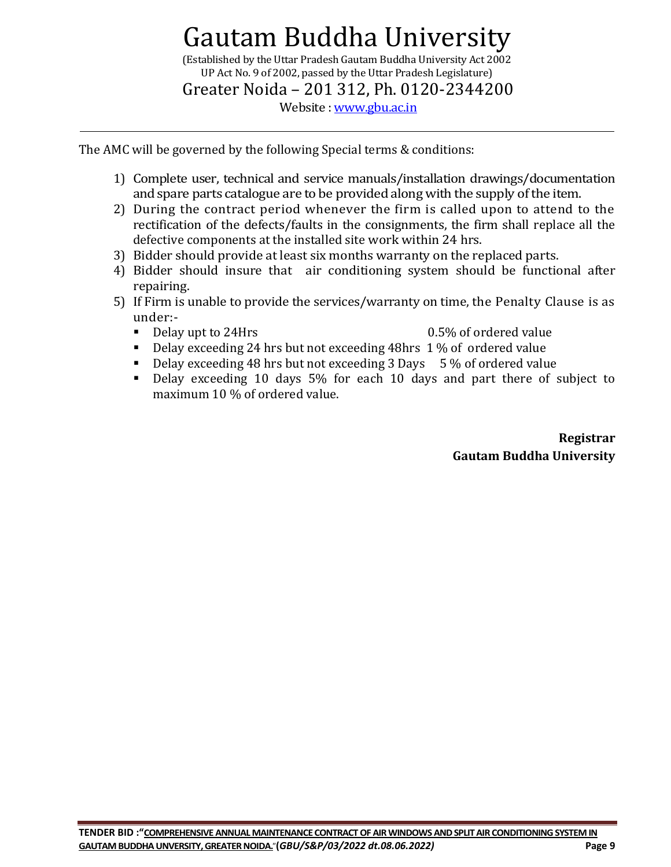(Established by the Uttar Pradesh Gautam Buddha University Act 2002 UP Act No. 9 of 2002, passed by the Uttar Pradesh Legislature)

Greater Noida – 201 312, Ph. 0120-2344200

Website : [www.gbu.ac.in](http://www.gbu.ac.in/)

The AMC will be governed by the following Special terms & conditions:

- 1) Complete user, technical and service manuals/installation drawings/documentation and spare parts catalogue are to be provided along with the supply of the item.
- 2) During the contract period whenever the firm is called upon to attend to the rectification of the defects/faults in the consignments, the firm shall replace all the defective components at the installed site work within 24 hrs.
- 3) Bidder should provide at least six months warranty on the replaced parts.
- 4) Bidder should insure that air conditioning system should be functional after repairing.
- 5) If Firm is unable to provide the services/warranty on time, the Penalty Clause is as under:-
	-
	- Delay upt to 24Hrs 0.5% of ordered value
	- Delay exceeding 24 hrs but not exceeding 48hrs 1 % of ordered value
	- $\blacksquare$  Delay exceeding 48 hrs but not exceeding 3 Days  $\,$  5 % of ordered value
	- Delay exceeding 10 days 5% for each 10 days and part there of subject to maximum 10 % of ordered value.

**Registrar Gautam Buddha University**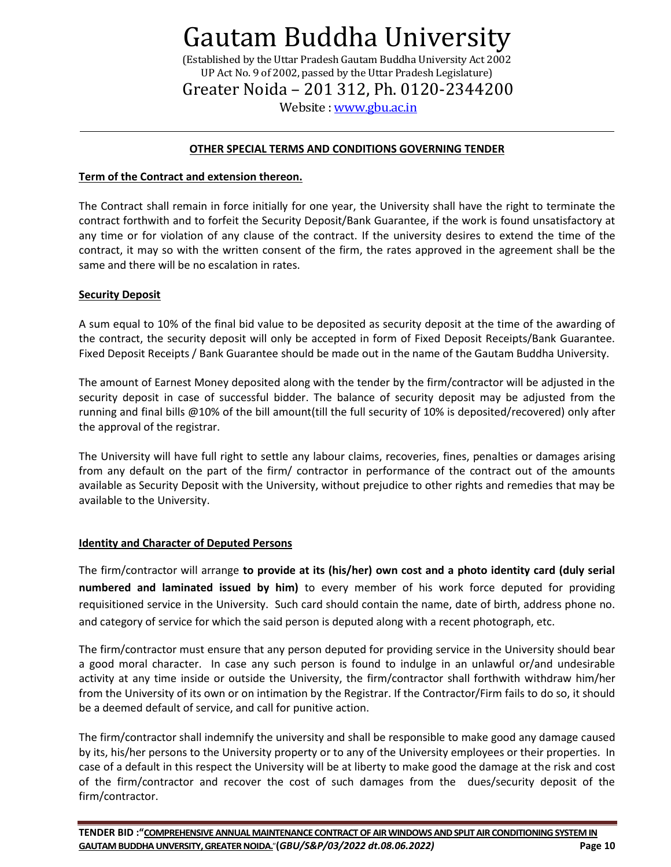(Established by the Uttar Pradesh Gautam Buddha University Act 2002 UP Act No. 9 of 2002, passed by the Uttar Pradesh Legislature) Greater Noida – 201 312, Ph. 0120-2344200

Website : [www.gbu.ac.in](http://www.gbu.ac.in/)

#### **OTHER SPECIAL TERMS AND CONDITIONS GOVERNING TENDER**

#### **Term of the Contract and extension thereon.**

The Contract shall remain in force initially for one year, the University shall have the right to terminate the contract forthwith and to forfeit the Security Deposit/Bank Guarantee, if the work is found unsatisfactory at any time or for violation of any clause of the contract. If the university desires to extend the time of the contract, it may so with the written consent of the firm, the rates approved in the agreement shall be the same and there will be no escalation in rates.

#### **Security Deposit**

A sum equal to 10% of the final bid value to be deposited as security deposit at the time of the awarding of the contract, the security deposit will only be accepted in form of Fixed Deposit Receipts/Bank Guarantee. Fixed Deposit Receipts / Bank Guarantee should be made out in the name of the Gautam Buddha University.

The amount of Earnest Money deposited along with the tender by the firm/contractor will be adjusted in the security deposit in case of successful bidder. The balance of security deposit may be adjusted from the running and final bills @10% of the bill amount(till the full security of 10% is deposited/recovered) only after the approval of the registrar.

The University will have full right to settle any labour claims, recoveries, fines, penalties or damages arising from any default on the part of the firm/ contractor in performance of the contract out of the amounts available as Security Deposit with the University, without prejudice to other rights and remedies that may be available to the University.

#### **Identity and Character of Deputed Persons**

The firm/contractor will arrange **to provide at its (his/her) own cost and a photo identity card (duly serial numbered and laminated issued by him)** to every member of his work force deputed for providing requisitioned service in the University. Such card should contain the name, date of birth, address phone no. and category of service for which the said person is deputed along with a recent photograph, etc.

The firm/contractor must ensure that any person deputed for providing service in the University should bear a good moral character. In case any such person is found to indulge in an unlawful or/and undesirable activity at any time inside or outside the University, the firm/contractor shall forthwith withdraw him/her from the University of its own or on intimation by the Registrar. If the Contractor/Firm fails to do so, it should be a deemed default of service, and call for punitive action.

The firm/contractor shall indemnify the university and shall be responsible to make good any damage caused by its, his/her persons to the University property or to any of the University employees or their properties. In case of a default in this respect the University will be at liberty to make good the damage at the risk and cost of the firm/contractor and recover the cost of such damages from the dues/security deposit of the firm/contractor.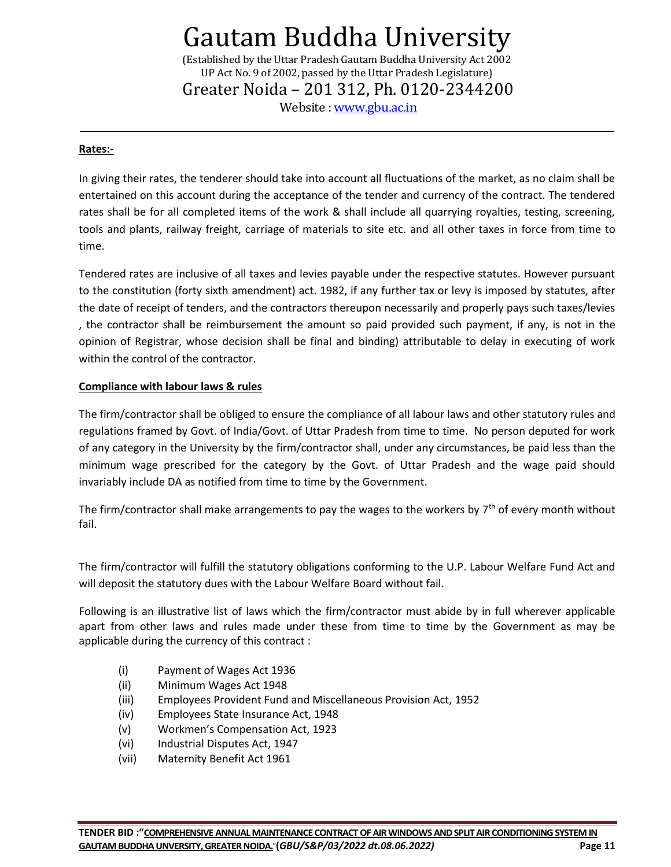(Established by the Uttar Pradesh Gautam Buddha University Act 2002 UP Act No. 9 of 2002, passed by the Uttar Pradesh Legislature) Greater Noida – 201 312, Ph. 0120-2344200

Website : [www.gbu.ac.in](http://www.gbu.ac.in/)

#### **Rates:-**

In giving their rates, the tenderer should take into account all fluctuations of the market, as no claim shall be entertained on this account during the acceptance of the tender and currency of the contract. The tendered rates shall be for all completed items of the work & shall include all quarrying royalties, testing, screening, tools and plants, railway freight, carriage of materials to site etc. and all other taxes in force from time to time.

Tendered rates are inclusive of all taxes and levies payable under the respective statutes. However pursuant to the constitution (forty sixth amendment) act. 1982, if any further tax or levy is imposed by statutes, after the date of receipt of tenders, and the contractors thereupon necessarily and properly pays such taxes/levies , the contractor shall be reimbursement the amount so paid provided such payment, if any, is not in the opinion of Registrar, whose decision shall be final and binding) attributable to delay in executing of work within the control of the contractor.

#### **Compliance with labour laws & rules**

The firm/contractor shall be obliged to ensure the compliance of all labour laws and other statutory rules and regulations framed by Govt. of India/Govt. of Uttar Pradesh from time to time. No person deputed for work of any category in the University by the firm/contractor shall, under any circumstances, be paid less than the minimum wage prescribed for the category by the Govt. of Uttar Pradesh and the wage paid should invariably include DA as notified from time to time by the Government.

The firm/contractor shall make arrangements to pay the wages to the workers by  $7<sup>th</sup>$  of every month without fail.

The firm/contractor will fulfill the statutory obligations conforming to the U.P. Labour Welfare Fund Act and will deposit the statutory dues with the Labour Welfare Board without fail.

Following is an illustrative list of laws which the firm/contractor must abide by in full wherever applicable apart from other laws and rules made under these from time to time by the Government as may be applicable during the currency of this contract :

- (i) Payment of Wages Act 1936
- (ii) Minimum Wages Act 1948
- (iii) Employees Provident Fund and Miscellaneous Provision Act, 1952
- (iv) Employees State Insurance Act, 1948
- (v) Workmen's Compensation Act, 1923
- (vi) Industrial Disputes Act, 1947
- (vii) Maternity Benefit Act 1961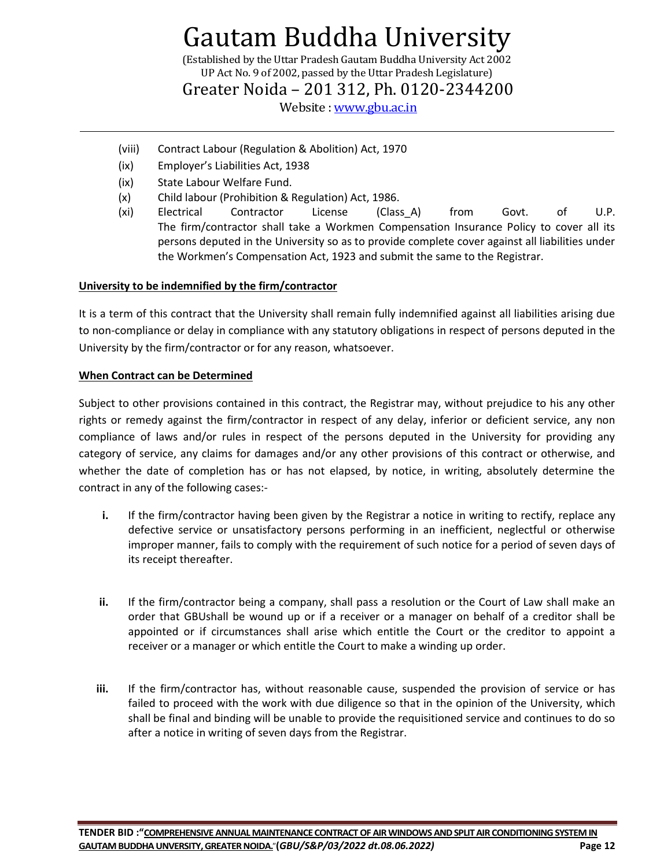(Established by the Uttar Pradesh Gautam Buddha University Act 2002 UP Act No. 9 of 2002, passed by the Uttar Pradesh Legislature)

Greater Noida – 201 312, Ph. 0120-2344200

Website : [www.gbu.ac.in](http://www.gbu.ac.in/)

- (viii) Contract Labour (Regulation & Abolition) Act, 1970
- (ix) Employer's Liabilities Act, 1938
- (ix) State Labour Welfare Fund.
- (x) Child labour (Prohibition & Regulation) Act, 1986.
- (xi) Electrical Contractor License (Class\_A) from Govt. of U.P. The firm/contractor shall take a Workmen Compensation Insurance Policy to cover all its persons deputed in the University so as to provide complete cover against all liabilities under the Workmen's Compensation Act, 1923 and submit the same to the Registrar.

#### **University to be indemnified by the firm/contractor**

It is a term of this contract that the University shall remain fully indemnified against all liabilities arising due to non-compliance or delay in compliance with any statutory obligations in respect of persons deputed in the University by the firm/contractor or for any reason, whatsoever.

#### **When Contract can be Determined**

Subject to other provisions contained in this contract, the Registrar may, without prejudice to his any other rights or remedy against the firm/contractor in respect of any delay, inferior or deficient service, any non compliance of laws and/or rules in respect of the persons deputed in the University for providing any category of service, any claims for damages and/or any other provisions of this contract or otherwise, and whether the date of completion has or has not elapsed, by notice, in writing, absolutely determine the contract in any of the following cases:-

- **i.** If the firm/contractor having been given by the Registrar a notice in writing to rectify, replace any defective service or unsatisfactory persons performing in an inefficient, neglectful or otherwise improper manner, fails to comply with the requirement of such notice for a period of seven days of its receipt thereafter.
- **ii.** If the firm/contractor being a company, shall pass a resolution or the Court of Law shall make an order that GBUshall be wound up or if a receiver or a manager on behalf of a creditor shall be appointed or if circumstances shall arise which entitle the Court or the creditor to appoint a receiver or a manager or which entitle the Court to make a winding up order.
- **iii.** If the firm/contractor has, without reasonable cause, suspended the provision of service or has failed to proceed with the work with due diligence so that in the opinion of the University, which shall be final and binding will be unable to provide the requisitioned service and continues to do so after a notice in writing of seven days from the Registrar.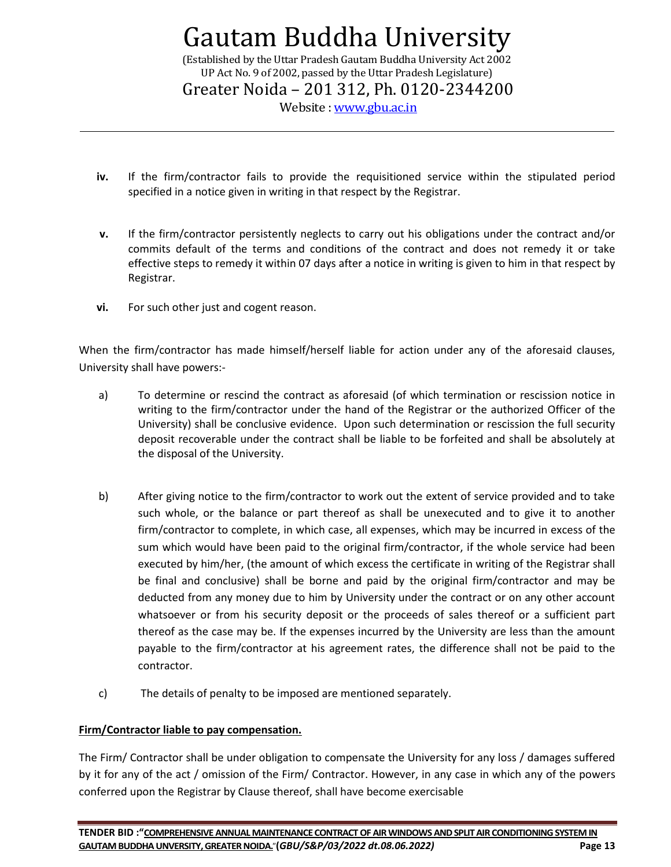(Established by the Uttar Pradesh Gautam Buddha University Act 2002 UP Act No. 9 of 2002, passed by the Uttar Pradesh Legislature) Greater Noida – 201 312, Ph. 0120-2344200

Website : [www.gbu.ac.in](http://www.gbu.ac.in/)

- **iv.** If the firm/contractor fails to provide the requisitioned service within the stipulated period specified in a notice given in writing in that respect by the Registrar.
- **v.** If the firm/contractor persistently neglects to carry out his obligations under the contract and/or commits default of the terms and conditions of the contract and does not remedy it or take effective steps to remedy it within 07 days after a notice in writing is given to him in that respect by Registrar.
- **vi.** For such other just and cogent reason.

When the firm/contractor has made himself/herself liable for action under any of the aforesaid clauses, University shall have powers:-

- a) To determine or rescind the contract as aforesaid (of which termination or rescission notice in writing to the firm/contractor under the hand of the Registrar or the authorized Officer of the University) shall be conclusive evidence. Upon such determination or rescission the full security deposit recoverable under the contract shall be liable to be forfeited and shall be absolutely at the disposal of the University.
- b) After giving notice to the firm/contractor to work out the extent of service provided and to take such whole, or the balance or part thereof as shall be unexecuted and to give it to another firm/contractor to complete, in which case, all expenses, which may be incurred in excess of the sum which would have been paid to the original firm/contractor, if the whole service had been executed by him/her, (the amount of which excess the certificate in writing of the Registrar shall be final and conclusive) shall be borne and paid by the original firm/contractor and may be deducted from any money due to him by University under the contract or on any other account whatsoever or from his security deposit or the proceeds of sales thereof or a sufficient part thereof as the case may be. If the expenses incurred by the University are less than the amount payable to the firm/contractor at his agreement rates, the difference shall not be paid to the contractor.
- c) The details of penalty to be imposed are mentioned separately.

#### **Firm/Contractor liable to pay compensation.**

The Firm/ Contractor shall be under obligation to compensate the University for any loss / damages suffered by it for any of the act / omission of the Firm/ Contractor. However, in any case in which any of the powers conferred upon the Registrar by Clause thereof, shall have become exercisable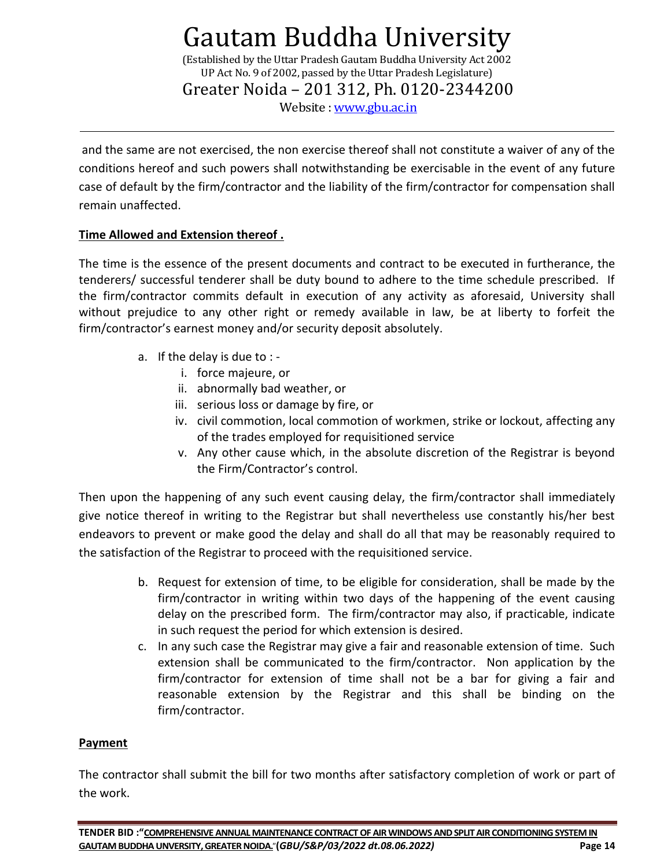(Established by the Uttar Pradesh Gautam Buddha University Act 2002 UP Act No. 9 of 2002, passed by the Uttar Pradesh Legislature) Greater Noida – 201 312, Ph. 0120-2344200

Website : [www.gbu.ac.in](http://www.gbu.ac.in/)

and the same are not exercised, the non exercise thereof shall not constitute a waiver of any of the conditions hereof and such powers shall notwithstanding be exercisable in the event of any future case of default by the firm/contractor and the liability of the firm/contractor for compensation shall remain unaffected.

### **Time Allowed and Extension thereof .**

The time is the essence of the present documents and contract to be executed in furtherance, the tenderers/ successful tenderer shall be duty bound to adhere to the time schedule prescribed. If the firm/contractor commits default in execution of any activity as aforesaid, University shall without prejudice to any other right or remedy available in law, be at liberty to forfeit the firm/contractor's earnest money and/or security deposit absolutely.

- a. If the delay is due to :
	- i. force majeure, or
	- ii. abnormally bad weather, or
	- iii. serious loss or damage by fire, or
	- iv. civil commotion, local commotion of workmen, strike or lockout, affecting any of the trades employed for requisitioned service
	- v. Any other cause which, in the absolute discretion of the Registrar is beyond the Firm/Contractor's control.

Then upon the happening of any such event causing delay, the firm/contractor shall immediately give notice thereof in writing to the Registrar but shall nevertheless use constantly his/her best endeavors to prevent or make good the delay and shall do all that may be reasonably required to the satisfaction of the Registrar to proceed with the requisitioned service.

- b. Request for extension of time, to be eligible for consideration, shall be made by the firm/contractor in writing within two days of the happening of the event causing delay on the prescribed form. The firm/contractor may also, if practicable, indicate in such request the period for which extension is desired.
- c. In any such case the Registrar may give a fair and reasonable extension of time. Such extension shall be communicated to the firm/contractor. Non application by the firm/contractor for extension of time shall not be a bar for giving a fair and reasonable extension by the Registrar and this shall be binding on the firm/contractor.

#### **Payment**

The contractor shall submit the bill for two months after satisfactory completion of work or part of the work.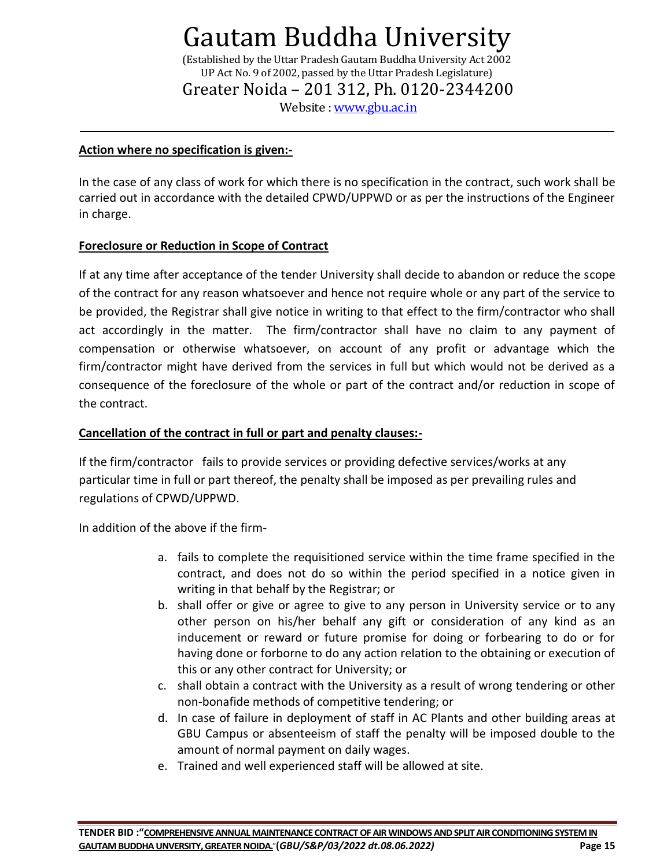(Established by the Uttar Pradesh Gautam Buddha University Act 2002 UP Act No. 9 of 2002, passed by the Uttar Pradesh Legislature) Greater Noida – 201 312, Ph. 0120-2344200

Website : [www.gbu.ac.in](http://www.gbu.ac.in/)

#### **Action where no specification is given:-**

In the case of any class of work for which there is no specification in the contract, such work shall be carried out in accordance with the detailed CPWD/UPPWD or as per the instructions of the Engineer in charge.

#### **Foreclosure or Reduction in Scope of Contract**

If at any time after acceptance of the tender University shall decide to abandon or reduce the scope of the contract for any reason whatsoever and hence not require whole or any part of the service to be provided, the Registrar shall give notice in writing to that effect to the firm/contractor who shall act accordingly in the matter. The firm/contractor shall have no claim to any payment of compensation or otherwise whatsoever, on account of any profit or advantage which the firm/contractor might have derived from the services in full but which would not be derived as a consequence of the foreclosure of the whole or part of the contract and/or reduction in scope of the contract.

#### **Cancellation of the contract in full or part and penalty clauses:-**

If the firm/contractor fails to provide services or providing defective services/works at any particular time in full or part thereof, the penalty shall be imposed as per prevailing rules and regulations of CPWD/UPPWD.

In addition of the above if the firm-

- a. fails to complete the requisitioned service within the time frame specified in the contract, and does not do so within the period specified in a notice given in writing in that behalf by the Registrar; or
- b. shall offer or give or agree to give to any person in University service or to any other person on his/her behalf any gift or consideration of any kind as an inducement or reward or future promise for doing or forbearing to do or for having done or forborne to do any action relation to the obtaining or execution of this or any other contract for University; or
- c. shall obtain a contract with the University as a result of wrong tendering or other non-bonafide methods of competitive tendering; or
- d. In case of failure in deployment of staff in AC Plants and other building areas at GBU Campus or absenteeism of staff the penalty will be imposed double to the amount of normal payment on daily wages.
- e. Trained and well experienced staff will be allowed at site.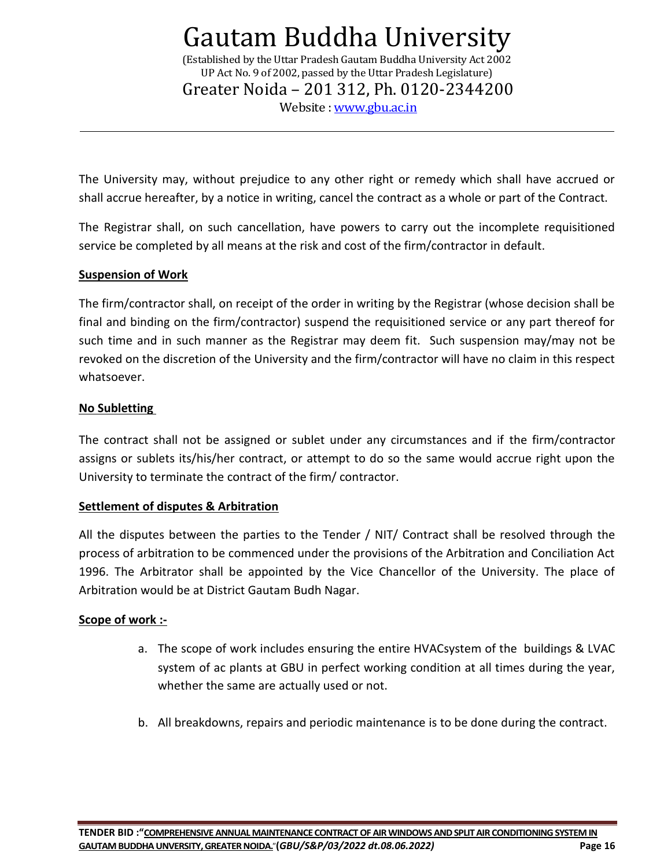(Established by the Uttar Pradesh Gautam Buddha University Act 2002 UP Act No. 9 of 2002, passed by the Uttar Pradesh Legislature) Greater Noida – 201 312, Ph. 0120-2344200

Website : [www.gbu.ac.in](http://www.gbu.ac.in/)

The University may, without prejudice to any other right or remedy which shall have accrued or shall accrue hereafter, by a notice in writing, cancel the contract as a whole or part of the Contract.

The Registrar shall, on such cancellation, have powers to carry out the incomplete requisitioned service be completed by all means at the risk and cost of the firm/contractor in default.

#### **Suspension of Work**

The firm/contractor shall, on receipt of the order in writing by the Registrar (whose decision shall be final and binding on the firm/contractor) suspend the requisitioned service or any part thereof for such time and in such manner as the Registrar may deem fit. Such suspension may/may not be revoked on the discretion of the University and the firm/contractor will have no claim in this respect whatsoever.

#### **No Subletting**

The contract shall not be assigned or sublet under any circumstances and if the firm/contractor assigns or sublets its/his/her contract, or attempt to do so the same would accrue right upon the University to terminate the contract of the firm/ contractor.

#### **Settlement of disputes & Arbitration**

All the disputes between the parties to the Tender / NIT/ Contract shall be resolved through the process of arbitration to be commenced under the provisions of the Arbitration and Conciliation Act 1996. The Arbitrator shall be appointed by the Vice Chancellor of the University. The place of Arbitration would be at District Gautam Budh Nagar.

#### **Scope of work :-**

- a. The scope of work includes ensuring the entire HVACsystem of the buildings & LVAC system of ac plants at GBU in perfect working condition at all times during the year, whether the same are actually used or not.
- b. All breakdowns, repairs and periodic maintenance is to be done during the contract.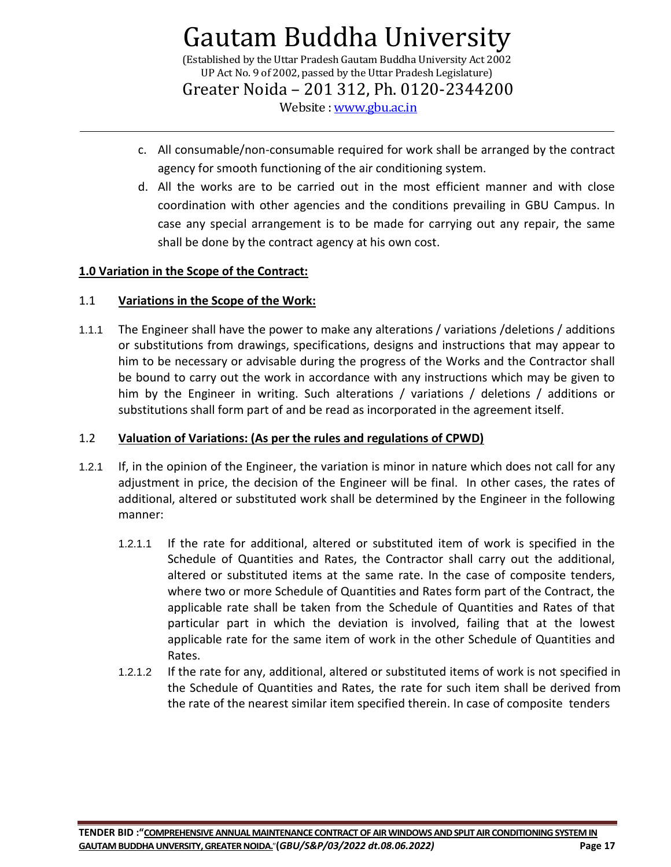(Established by the Uttar Pradesh Gautam Buddha University Act 2002 UP Act No. 9 of 2002, passed by the Uttar Pradesh Legislature)

Greater Noida – 201 312, Ph. 0120-2344200

Website : [www.gbu.ac.in](http://www.gbu.ac.in/)

- c. All consumable/non-consumable required for work shall be arranged by the contract agency for smooth functioning of the air conditioning system.
- d. All the works are to be carried out in the most efficient manner and with close coordination with other agencies and the conditions prevailing in GBU Campus. In case any special arrangement is to be made for carrying out any repair, the same shall be done by the contract agency at his own cost.

### **1.0 Variation in the Scope of the Contract:**

### 1.1 **Variations in the Scope of the Work:**

1.1.1 The Engineer shall have the power to make any alterations / variations /deletions / additions or substitutions from drawings, specifications, designs and instructions that may appear to him to be necessary or advisable during the progress of the Works and the Contractor shall be bound to carry out the work in accordance with any instructions which may be given to him by the Engineer in writing. Such alterations / variations / deletions / additions or substitutions shall form part of and be read as incorporated in the agreement itself.

### 1.2 **Valuation of Variations: (As per the rules and regulations of CPWD)**

- 1.2.1 If, in the opinion of the Engineer, the variation is minor in nature which does not call for any adjustment in price, the decision of the Engineer will be final. In other cases, the rates of additional, altered or substituted work shall be determined by the Engineer in the following manner:
	- 1.2.1.1 If the rate for additional, altered or substituted item of work is specified in the Schedule of Quantities and Rates, the Contractor shall carry out the additional, altered or substituted items at the same rate. In the case of composite tenders, where two or more Schedule of Quantities and Rates form part of the Contract, the applicable rate shall be taken from the Schedule of Quantities and Rates of that particular part in which the deviation is involved, failing that at the lowest applicable rate for the same item of work in the other Schedule of Quantities and Rates.
	- 1.2.1.2 If the rate for any, additional, altered or substituted items of work is not specified in the Schedule of Quantities and Rates, the rate for such item shall be derived from the rate of the nearest similar item specified therein. In case of composite tenders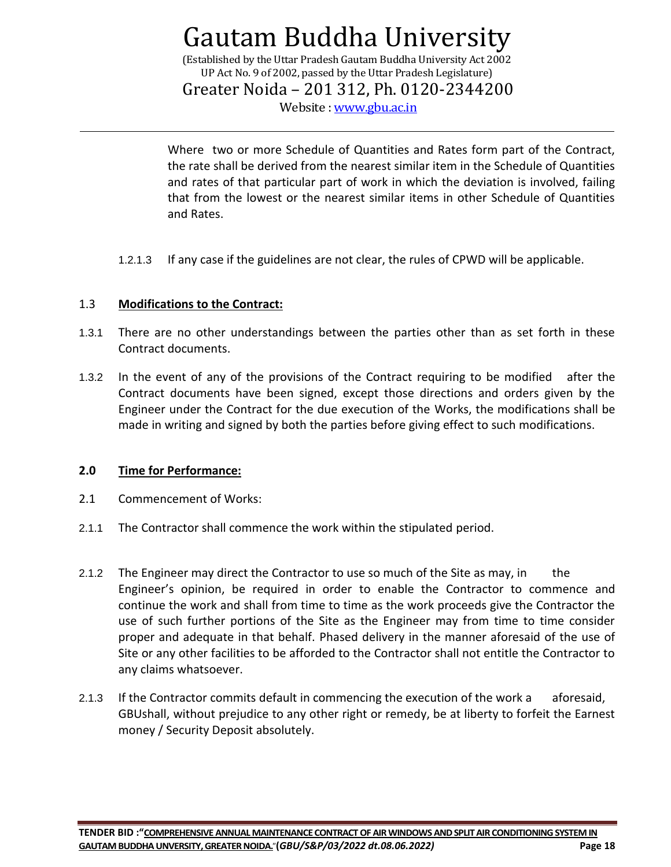(Established by the Uttar Pradesh Gautam Buddha University Act 2002 UP Act No. 9 of 2002, passed by the Uttar Pradesh Legislature)

Greater Noida – 201 312, Ph. 0120-2344200

Website : [www.gbu.ac.in](http://www.gbu.ac.in/)

Where two or more Schedule of Quantities and Rates form part of the Contract, the rate shall be derived from the nearest similar item in the Schedule of Quantities and rates of that particular part of work in which the deviation is involved, failing that from the lowest or the nearest similar items in other Schedule of Quantities and Rates.

1.2.1.3 If any case if the guidelines are not clear, the rules of CPWD will be applicable.

### 1.3 **Modifications to the Contract:**

- 1.3.1 There are no other understandings between the parties other than as set forth in these Contract documents.
- 1.3.2 In the event of any of the provisions of the Contract requiring to be modified after the Contract documents have been signed, except those directions and orders given by the Engineer under the Contract for the due execution of the Works, the modifications shall be made in writing and signed by both the parties before giving effect to such modifications.

#### **2.0 Time for Performance:**

- 2.1 Commencement of Works:
- 2.1.1 The Contractor shall commence the work within the stipulated period.
- 2.1.2 The Engineer may direct the Contractor to use so much of the Site as may, in the Engineer's opinion, be required in order to enable the Contractor to commence and continue the work and shall from time to time as the work proceeds give the Contractor the use of such further portions of the Site as the Engineer may from time to time consider proper and adequate in that behalf. Phased delivery in the manner aforesaid of the use of Site or any other facilities to be afforded to the Contractor shall not entitle the Contractor to any claims whatsoever.
- 2.1.3 If the Contractor commits default in commencing the execution of the work a aforesaid, GBUshall, without prejudice to any other right or remedy, be at liberty to forfeit the Earnest money / Security Deposit absolutely.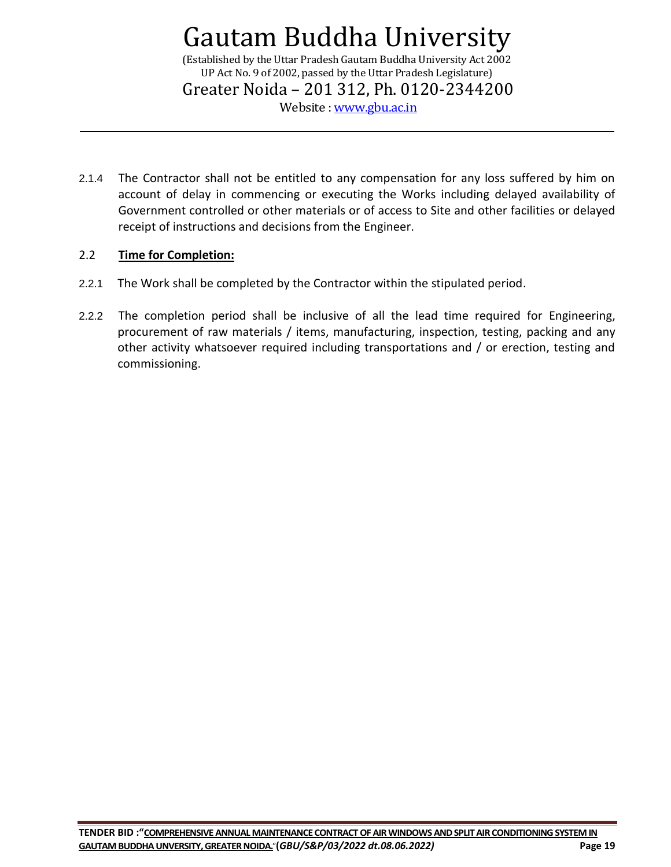(Established by the Uttar Pradesh Gautam Buddha University Act 2002 UP Act No. 9 of 2002, passed by the Uttar Pradesh Legislature) Greater Noida – 201 312, Ph. 0120-2344200

Website : [www.gbu.ac.in](http://www.gbu.ac.in/)

2.1.4 The Contractor shall not be entitled to any compensation for any loss suffered by him on account of delay in commencing or executing the Works including delayed availability of Government controlled or other materials or of access to Site and other facilities or delayed receipt of instructions and decisions from the Engineer.

#### 2.2 **Time for Completion:**

- 2.2.1 The Work shall be completed by the Contractor within the stipulated period.
- 2.2.2 The completion period shall be inclusive of all the lead time required for Engineering, procurement of raw materials / items, manufacturing, inspection, testing, packing and any other activity whatsoever required including transportations and / or erection, testing and commissioning.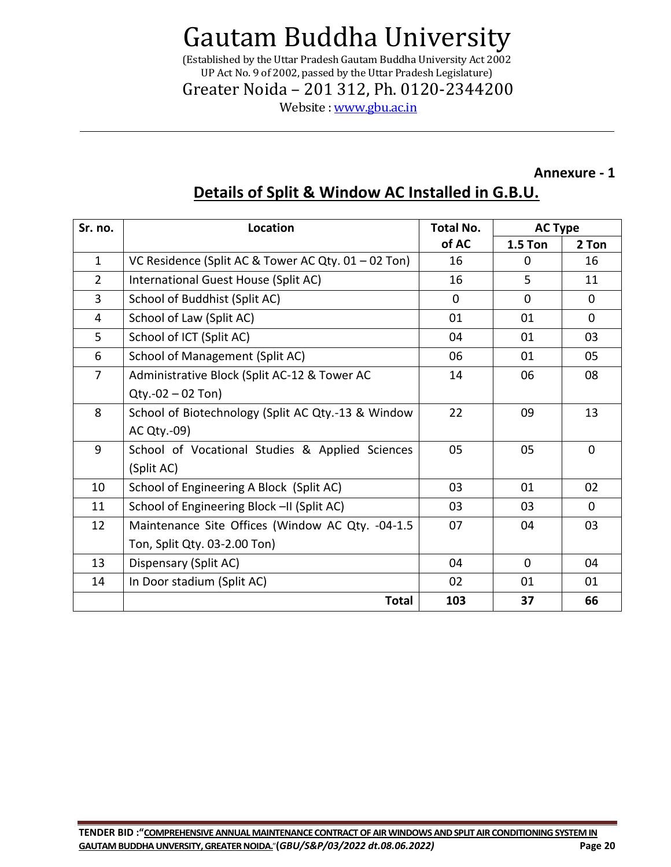(Established by the Uttar Pradesh Gautam Buddha University Act 2002 UP Act No. 9 of 2002, passed by the Uttar Pradesh Legislature)

Greater Noida – 201 312, Ph. 0120-2344200

Website : [www.gbu.ac.in](http://www.gbu.ac.in/)

### **Annexure - 1**

### **Details of Split & Window AC Installed in G.B.U.**

| Sr. no.        | Location                                            | <b>Total No.</b> | <b>AC Type</b> |             |
|----------------|-----------------------------------------------------|------------------|----------------|-------------|
|                |                                                     | of AC            | <b>1.5 Ton</b> | 2 Ton       |
| $\mathbf{1}$   | VC Residence (Split AC & Tower AC Qty. 01 - 02 Ton) | 16               | 0              | 16          |
| $\overline{2}$ | International Guest House (Split AC)                | 16               | 5              | 11          |
| 3              | School of Buddhist (Split AC)                       | $\Omega$         | $\Omega$       | $\Omega$    |
| 4              | School of Law (Split AC)                            | 01               | 01             | $\Omega$    |
| 5              | School of ICT (Split AC)                            | 04               | 01             | 03          |
| 6              | School of Management (Split AC)                     | 06               | 01             | 05          |
| $\overline{7}$ | Administrative Block (Split AC-12 & Tower AC        | 14               | 06             | 08          |
|                | $Qty.-02 - 02$ Ton)                                 |                  |                |             |
| 8              | School of Biotechnology (Split AC Qty.-13 & Window  | 22               | 09             | 13          |
|                | AC Qty.-09)                                         |                  |                |             |
| 9              | School of Vocational Studies & Applied Sciences     | 05               | 05             | $\Omega$    |
|                | (Split AC)                                          |                  |                |             |
| 10             | School of Engineering A Block (Split AC)            | 03               | 01             | 02          |
| 11             | School of Engineering Block -II (Split AC)          | 03               | 03             | $\mathbf 0$ |
| 12             | Maintenance Site Offices (Window AC Qty. -04-1.5    | 07               | 04             | 03          |
|                | Ton, Split Qty. 03-2.00 Ton)                        |                  |                |             |
| 13             | Dispensary (Split AC)                               | 04               | $\Omega$       | 04          |
| 14             | In Door stadium (Split AC)                          | 02               | 01             | 01          |
|                | <b>Total</b>                                        | 103              | 37             | 66          |